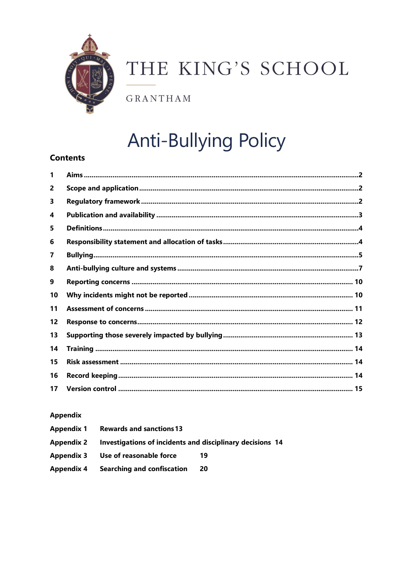

# THE KING'S SCHOOL

**GRANTHAM** 

# **Anti-Bullying Policy**

# **Contents**

| 1              |  |
|----------------|--|
| $\overline{2}$ |  |
| 3              |  |
| 4              |  |
| 5              |  |
| 6              |  |
| 7              |  |
| 8              |  |
| 9              |  |
| 10             |  |
| 11             |  |
| 12             |  |
| 13             |  |
| 14             |  |
| 15             |  |
| 16             |  |
| 17             |  |

## **Appendix**

| <b>Rewards and sanctions 13</b><br>Appendix 1 |                                                           |     |
|-----------------------------------------------|-----------------------------------------------------------|-----|
| Appendix 2                                    | Investigations of incidents and disciplinary decisions 14 |     |
|                                               | Appendix 3 Use of reasonable force                        | 19  |
| Appendix 4                                    | <b>Searching and confiscation</b>                         | -20 |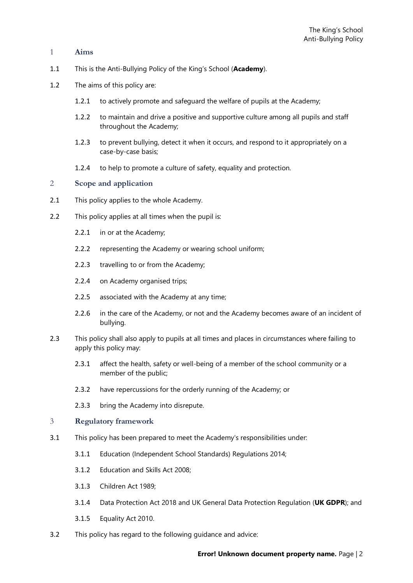#### <span id="page-1-0"></span>1 **Aims**

- 1.1 This is the Anti-Bullying Policy of the King's School (**Academy**).
- 1.2 The aims of this policy are:
	- 1.2.1 to actively promote and safeguard the welfare of pupils at the Academy;
	- 1.2.2 to maintain and drive a positive and supportive culture among all pupils and staff throughout the Academy;
	- 1.2.3 to prevent bullying, detect it when it occurs, and respond to it appropriately on a case-by-case basis;
	- 1.2.4 to help to promote a culture of safety, equality and protection.

#### <span id="page-1-1"></span>2 **Scope and application**

- 2.1 This policy applies to the whole Academy.
- 2.2 This policy applies at all times when the pupil is:
	- 2.2.1 in or at the Academy;
	- 2.2.2 representing the Academy or wearing school uniform;
	- 2.2.3 travelling to or from the Academy;
	- 2.2.4 on Academy organised trips;
	- 2.2.5 associated with the Academy at any time;
	- 2.2.6 in the care of the Academy, or not and the Academy becomes aware of an incident of bullying.
- 2.3 This policy shall also apply to pupils at all times and places in circumstances where failing to apply this policy may:
	- 2.3.1 affect the health, safety or well-being of a member of the school community or a member of the public;
	- 2.3.2 have repercussions for the orderly running of the Academy; or
	- 2.3.3 bring the Academy into disrepute.

#### <span id="page-1-2"></span>3 **Regulatory framework**

- 3.1 This policy has been prepared to meet the Academy's responsibilities under:
	- 3.1.1 Education (Independent School Standards) Regulations 2014;
	- 3.1.2 Education and Skills Act 2008;
	- 3.1.3 Children Act 1989;
	- 3.1.4 Data Protection Act 2018 and UK General Data Protection Regulation (**UK GDPR**); and
	- 3.1.5 Equality Act 2010.
- 3.2 This policy has regard to the following guidance and advice: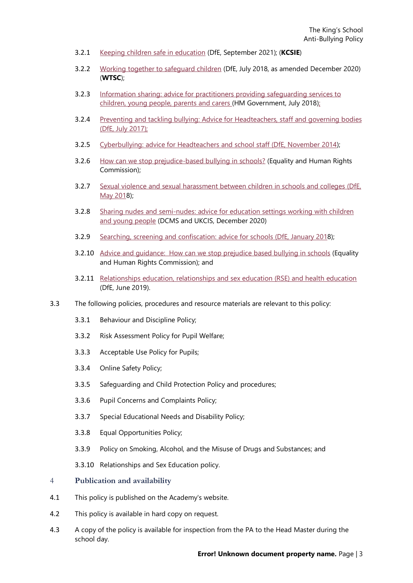- 3.2.1 Keeping children safe in [education](https://www.gov.uk/government/publications/keeping-children-safe-in-education--2) (DfE, September 2021); (**KCSIE**)
- 3.2.2 Working together to [safeguard](https://www.gov.uk/government/publications/working-together-to-safeguard-children--2) children (DfE, July 2018, as amended December 2020) (**WTSC**);
- 3.2.3 Information sharing: advice for practitioners providing [safeguarding](https://www.gov.uk/government/publications/safeguarding-practitioners-information-sharing-advice) services to [children,](https://www.gov.uk/government/publications/safeguarding-practitioners-information-sharing-advice) young people, parents and carers (HM Government, July 2018);
- 3.2.4 Preventing and tackling bullying: Advice for [Headteachers,](https://www.gov.uk/government/publications/preventing-and-tackling-bullying) staff and governing bodies (DfE, July [2017\);](https://www.gov.uk/government/publications/preventing-and-tackling-bullying)
- 3.2.5 [Cyberbullying:](https://www.gov.uk/government/publications/preventing-and-tackling-bullying) advice for Headteachers and school staff (DfE, November 2014);
- 3.2.6 How can we stop [prejudice-based](https://www.equalityhumanrights.com/en/advice-and-guidance/how-can-we-stop-prejudice-based-bullying-schools) bullying in schools? (Equality and Human Rights Commission);
- 3.2.7 Sexual violence and sexual [harassment](https://www.gov.uk/government/publications/sexual-violence-and-sexual-harassment-between-children-in-schools-and-colleges) between children in schools and colleges (DfE, [May](https://www.gov.uk/government/publications/sexual-violence-and-sexual-harassment-between-children-in-schools-and-colleges) 2018);
- 3.2.8 Sharing nudes and [semi-nudes:](https://www.gov.uk/government/publications/sharing-nudes-and-semi-nudes-advice-for-education-settings-working-with-children-and-young-people/sharing-nudes-and-semi-nudes-advice-for-education-settings-working-with-children-and-young-people#sec2) advice for education settings working with children and young [people](https://www.gov.uk/government/publications/sharing-nudes-and-semi-nudes-advice-for-education-settings-working-with-children-and-young-people/sharing-nudes-and-semi-nudes-advice-for-education-settings-working-with-children-and-young-people#sec2) (DCMS and UKCIS, December 2020)
- 3.2.9 Searching, screening and [confiscation:](https://www.gov.uk/government/publications/searching-screening-and-confiscation) advice for schools (DfE, January 2018);
- 3.2.10 Advice and [guidance: How](https://www.equalityhumanrights.com/en/advice-and-guidance/how-can-we-stop-prejudice-based-bullying-schools) can we stop prejudice based bullying in schools (Equality and Human Rights Commission); and
- 3.2.11 [Relationships](https://www.gov.uk/government/publications/relationships-education-relationships-and-sex-education-rse-and-health-education) education, relationships and sex education (RSE) and health education (DfE, June 2019).
- 3.3 The following policies, procedures and resource materials are relevant to this policy:
	- 3.3.1 Behaviour and Discipline Policy;
	- 3.3.2 Risk Assessment Policy for Pupil Welfare;
	- 3.3.3 Acceptable Use Policy for Pupils;
	- 3.3.4 Online Safety Policy;
	- 3.3.5 Safeguarding and Child Protection Policy and procedures;
	- 3.3.6 Pupil Concerns and Complaints Policy;
	- 3.3.7 Special Educational Needs and Disability Policy;
	- 3.3.8 Equal Opportunities Policy;
	- 3.3.9 Policy on Smoking, Alcohol, and the Misuse of Drugs and Substances; and
	- 3.3.10 Relationships and Sex Education policy.

#### <span id="page-2-0"></span>4 **Publication and availability**

- 4.1 This policy is published on the Academy's website.
- 4.2 This policy is available in hard copy on request.
- 4.3 A copy of the policy is available for inspection from the PA to the Head Master during the school day.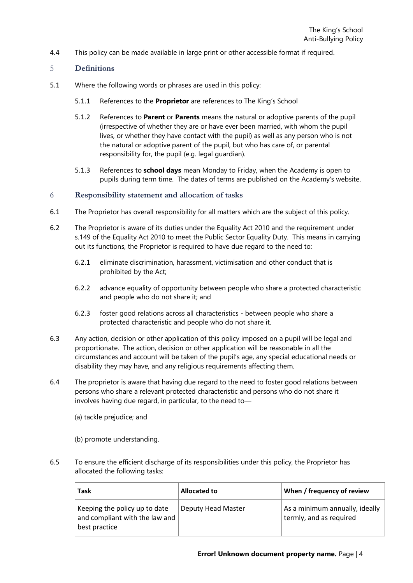4.4 This policy can be made available in large print or other accessible format if required.

#### <span id="page-3-0"></span>5 **Definitions**

- 5.1 Where the following words or phrases are used in this policy:
	- 5.1.1 References to the **Proprietor** are references to The King's School
	- 5.1.2 References to **Parent** or **Parents** means the natural or adoptive parents of the pupil (irrespective of whether they are or have ever been married, with whom the pupil lives, or whether they have contact with the pupil) as well as any person who is not the natural or adoptive parent of the pupil, but who has care of, or parental responsibility for, the pupil (e.g. legal guardian).
	- 5.1.3 References to **school days** mean Monday to Friday, when the Academy is open to pupils during term time. The dates of terms are published on the Academy's website.

#### <span id="page-3-1"></span>6 **Responsibility statement and allocation of tasks**

- 6.1 The Proprietor has overall responsibility for all matters which are the subject of this policy.
- 6.2 The Proprietor is aware of its duties under the Equality Act 2010 and the requirement under s.149 of the Equality Act 2010 to meet the Public Sector Equality Duty. This means in carrying out its functions, the Proprietor is required to have due regard to the need to:
	- 6.2.1 eliminate discrimination, harassment, victimisation and other conduct that is prohibited by the Act;
	- 6.2.2 advance equality of opportunity between people who share a protected characteristic and people who do not share it; and
	- 6.2.3 foster good relations across all characteristics between people who share a protected characteristic and people who do not share it.
- 6.3 Any action, decision or other application of this policy imposed on a pupil will be legal and proportionate. The action, decision or other application will be reasonable in all the circumstances and account will be taken of the pupil's age, any special educational needs or disability they may have, and any religious requirements affecting them.
- 6.4 The proprietor is aware that having due regard to the need to foster good relations between persons who share a relevant protected characteristic and persons who do not share it involves having due regard, in particular, to the need to—
	- (a) tackle prejudice; and
	- (b) promote understanding.
- 6.5 To ensure the efficient discharge of its responsibilities under this policy, the Proprietor has allocated the following tasks:

| <b>Task</b>                                                                      | <b>Allocated to</b> | When / frequency of review                                |
|----------------------------------------------------------------------------------|---------------------|-----------------------------------------------------------|
| Keeping the policy up to date<br>and compliant with the law and<br>best practice | Deputy Head Master  | As a minimum annually, ideally<br>termly, and as required |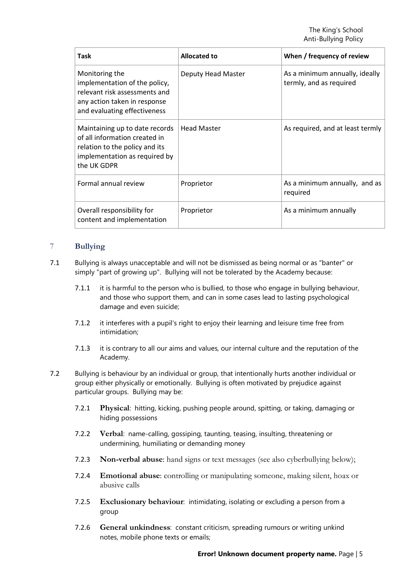| <b>Task</b>                                                                                                                                       | Allocated to       | When / frequency of review                                |
|---------------------------------------------------------------------------------------------------------------------------------------------------|--------------------|-----------------------------------------------------------|
| Monitoring the<br>implementation of the policy,<br>relevant risk assessments and<br>any action taken in response<br>and evaluating effectiveness  | Deputy Head Master | As a minimum annually, ideally<br>termly, and as required |
| Maintaining up to date records<br>of all information created in<br>relation to the policy and its<br>implementation as required by<br>the UK GDPR | <b>Head Master</b> | As required, and at least termly                          |
| Formal annual review                                                                                                                              | Proprietor         | As a minimum annually, and as<br>required                 |
| Overall responsibility for<br>content and implementation                                                                                          | Proprietor         | As a minimum annually                                     |

### <span id="page-4-0"></span>7 **Bullying**

- 7.1 Bullying is always unacceptable and will not be dismissed as being normal or as "banter" or simply "part of growing up". Bullying will not be tolerated by the Academy because:
	- 7.1.1 it is harmful to the person who is bullied, to those who engage in bullying behaviour, and those who support them, and can in some cases lead to lasting psychological damage and even suicide;
	- 7.1.2 it interferes with a pupil's right to enjoy their learning and leisure time free from intimidation;
	- 7.1.3 it is contrary to all our aims and values, our internal culture and the reputation of the Academy.
- 7.2 Bullying is behaviour by an individual or group, that intentionally hurts another individual or group either physically or emotionally. Bullying is often motivated by prejudice against particular groups. Bullying may be:
	- 7.2.1 **Physical**: hitting, kicking, pushing people around, spitting, or taking, damaging or hiding possessions
	- 7.2.2 **Verbal**: name-calling, gossiping, taunting, teasing, insulting, threatening or undermining, humiliating or demanding money
	- 7.2.3 **Non-verbal abuse**: hand signs or text messages (see also cyberbullying below);
	- 7.2.4 **Emotional abuse**: controlling or manipulating someone, making silent, hoax or abusive calls
	- 7.2.5 **Exclusionary behaviour**: intimidating, isolating or excluding a person from a group
	- 7.2.6 **General unkindness**: constant criticism, spreading rumours or writing unkind notes, mobile phone texts or emails;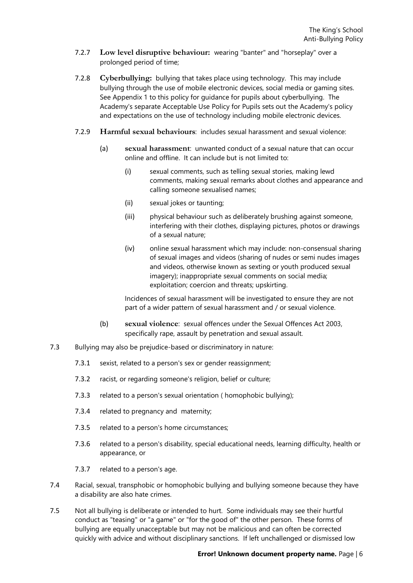- 7.2.7 **Low level disruptive behaviour:** wearing "banter" and "horseplay" over a prolonged period of time;
- 7.2.8 **Cyberbullying:** bullying that takes place using technology. This may include bullying through the use of mobile electronic devices, social media or gaming sites. See [Appendix 1](#page-15-0) to this policy for guidance for pupils about cyberbullying. The Academy's separate Acceptable Use Policy for Pupils sets out the Academy's policy and expectations on the use of technology including mobile electronic devices.
- 7.2.9 **Harmful sexual behaviours**: includes sexual harassment and sexual violence:
	- (a) **sexual harassment**: unwanted conduct of a sexual nature that can occur online and offline. It can include but is not limited to:
		- (i) sexual comments, such as telling sexual stories, making lewd comments, making sexual remarks about clothes and appearance and calling someone sexualised names;
		- (ii) sexual jokes or taunting;
		- (iii) physical behaviour such as deliberately brushing against someone, interfering with their clothes, displaying pictures, photos or drawings of a sexual nature;
		- (iv) online sexual harassment which may include: non-consensual sharing of sexual images and videos (sharing of nudes or semi nudes images and videos, otherwise known as sexting or youth produced sexual imagery); inappropriate sexual comments on social media; exploitation; coercion and threats; upskirting.

Incidences of sexual harassment will be investigated to ensure they are not part of a wider pattern of sexual harassment and / or sexual violence.

- (b) **sexual violence**: sexual offences under the Sexual Offences Act 2003, specifically rape, assault by penetration and sexual assault.
- 7.3 Bullying may also be prejudice-based or discriminatory in nature:
	- 7.3.1 sexist, related to a person's sex or gender reassignment;
	- 7.3.2 racist, or regarding someone's religion, belief or culture;
	- 7.3.3 related to a person's sexual orientation ( homophobic bullying);
	- 7.3.4 related to pregnancy and maternity;
	- 7.3.5 related to a person's home circumstances;
	- 7.3.6 related to a person's disability, special educational needs, learning difficulty, health or appearance, or
	- 7.3.7 related to a person's age.
- 7.4 Racial, sexual, transphobic or homophobic bullying and bullying someone because they have a disability are also hate crimes.
- 7.5 Not all bullying is deliberate or intended to hurt. Some individuals may see their hurtful conduct as "teasing" or "a game" or "for the good of" the other person. These forms of bullying are equally unacceptable but may not be malicious and can often be corrected quickly with advice and without disciplinary sanctions. If left unchallenged or dismissed low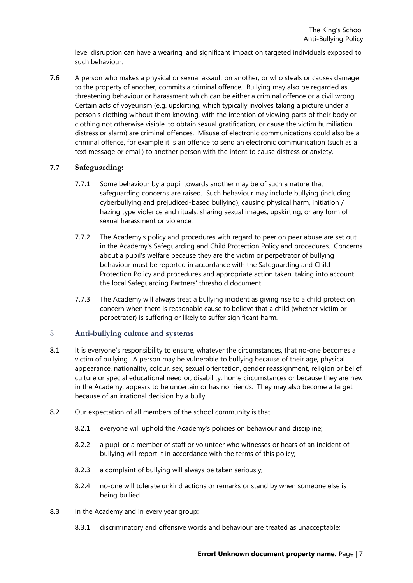level disruption can have a wearing, and significant impact on targeted individuals exposed to such behaviour.

7.6 A person who makes a physical or sexual assault on another, or who steals or causes damage to the property of another, commits a criminal offence. Bullying may also be regarded as threatening behaviour or harassment which can be either a criminal offence or a civil wrong. Certain acts of voyeurism (e.g. upskirting, which typically involves taking a picture under a person's clothing without them knowing, with the intention of viewing parts of their body or clothing not otherwise visible, to obtain sexual gratification, or cause the victim humiliation distress or alarm) are criminal offences. Misuse of electronic communications could also be a criminal offence, for example it is an offence to send an electronic communication (such as a text message or email) to another person with the intent to cause distress or anxiety.

#### 7.7 **Safeguarding:**

- 7.7.1 Some behaviour by a pupil towards another may be of such a nature that safeguarding concerns are raised. Such behaviour may include bullying (including cyberbullying and prejudiced-based bullying), causing physical harm, initiation / hazing type violence and rituals, sharing sexual images, upskirting, or any form of sexual harassment or violence.
- 7.7.2 The Academy's policy and procedures with regard to peer on peer abuse are set out in the Academy's Safeguarding and Child Protection Policy and procedures. Concerns about a pupil's welfare because they are the victim or perpetrator of bullying behaviour must be reported in accordance with the Safeguarding and Child Protection Policy and procedures and appropriate action taken, taking into account the local Safeguarding Partners' threshold document.
- 7.7.3 The Academy will always treat a bullying incident as giving rise to a child protection concern when there is reasonable cause to believe that a child (whether victim or perpetrator) is suffering or likely to suffer significant harm.

#### <span id="page-6-0"></span>8 **Anti-bullying culture and systems**

- 8.1 It is everyone's responsibility to ensure, whatever the circumstances, that no-one becomes a victim of bullying. A person may be vulnerable to bullying because of their age, physical appearance, nationality, colour, sex, sexual orientation, gender reassignment, religion or belief, culture or special educational need or, disability, home circumstances or because they are new in the Academy, appears to be uncertain or has no friends. They may also become a target because of an irrational decision by a bully.
- 8.2 Our expectation of all members of the school community is that:
	- 8.2.1 everyone will uphold the Academy's policies on behaviour and discipline;
	- 8.2.2 a pupil or a member of staff or volunteer who witnesses or hears of an incident of bullying will report it in accordance with the terms of this policy;
	- 8.2.3 a complaint of bullying will always be taken seriously;
	- 8.2.4 no-one will tolerate unkind actions or remarks or stand by when someone else is being bullied.
- 8.3 In the Academy and in every year group:
	- 8.3.1 discriminatory and offensive words and behaviour are treated as unacceptable;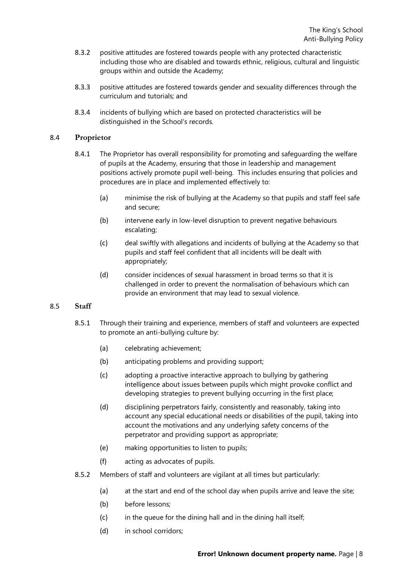- 8.3.2 positive attitudes are fostered towards people with any protected characteristic including those who are disabled and towards ethnic, religious, cultural and linguistic groups within and outside the Academy;
- 8.3.3 positive attitudes are fostered towards gender and sexuality differences through the curriculum and tutorials; and
- 8.3.4 incidents of bullying which are based on protected characteristics will be distinguished in the School's records.

#### 8.4 **Proprietor**

- 8.4.1 The Proprietor has overall responsibility for promoting and safeguarding the welfare of pupils at the Academy, ensuring that those in leadership and management positions actively promote pupil well-being. This includes ensuring that policies and procedures are in place and implemented effectively to:
	- (a) minimise the risk of bullying at the Academy so that pupils and staff feel safe and secure;
	- (b) intervene early in low-level disruption to prevent negative behaviours escalating;
	- (c) deal swiftly with allegations and incidents of bullying at the Academy so that pupils and staff feel confident that all incidents will be dealt with appropriately;
	- (d) consider incidences of sexual harassment in broad terms so that it is challenged in order to prevent the normalisation of behaviours which can provide an environment that may lead to sexual violence.

#### 8.5 **Staff**

- 8.5.1 Through their training and experience, members of staff and volunteers are expected to promote an anti-bullying culture by:
	- (a) celebrating achievement;
	- (b) anticipating problems and providing support;
	- (c) adopting a proactive interactive approach to bullying by gathering intelligence about issues between pupils which might provoke conflict and developing strategies to prevent bullying occurring in the first place;
	- (d) disciplining perpetrators fairly, consistently and reasonably, taking into account any special educational needs or disabilities of the pupil, taking into account the motivations and any underlying safety concerns of the perpetrator and providing support as appropriate;
	- (e) making opportunities to listen to pupils;
	- (f) acting as advocates of pupils.
- 8.5.2 Members of staff and volunteers are vigilant at all times but particularly:
	- (a) at the start and end of the school day when pupils arrive and leave the site;
	- (b) before lessons;
	- (c) in the queue for the dining hall and in the dining hall itself;
	- (d) in school corridors;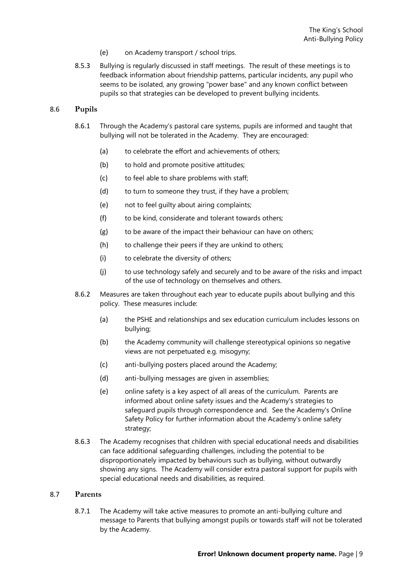- (e) on Academy transport / school trips.
- 8.5.3 Bullying is regularly discussed in staff meetings. The result of these meetings is to feedback information about friendship patterns, particular incidents, any pupil who seems to be isolated, any growing "power base" and any known conflict between pupils so that strategies can be developed to prevent bullying incidents.

#### 8.6 **Pupils**

- 8.6.1 Through the Academy's pastoral care systems, pupils are informed and taught that bullying will not be tolerated in the Academy. They are encouraged:
	- (a) to celebrate the effort and achievements of others;
	- (b) to hold and promote positive attitudes;
	- (c) to feel able to share problems with staff;
	- (d) to turn to someone they trust, if they have a problem;
	- (e) not to feel guilty about airing complaints;
	- (f) to be kind, considerate and tolerant towards others;
	- (g) to be aware of the impact their behaviour can have on others;
	- (h) to challenge their peers if they are unkind to others;
	- (i) to celebrate the diversity of others;
	- (j) to use technology safely and securely and to be aware of the risks and impact of the use of technology on themselves and others.
- 8.6.2 Measures are taken throughout each year to educate pupils about bullying and this policy. These measures include:
	- (a) the PSHE and relationships and sex education curriculum includes lessons on bullying;
	- (b) the Academy community will challenge stereotypical opinions so negative views are not perpetuated e.g. misogyny;
	- (c) anti-bullying posters placed around the Academy;
	- (d) anti-bullying messages are given in assemblies;
	- (e) online safety is a key aspect of all areas of the curriculum. Parents are informed about online safety issues and the Academy's strategies to safeguard pupils through correspondence and. See the Academy's Online Safety Policy for further information about the Academy's online safety strategy;
- 8.6.3 The Academy recognises that children with special educational needs and disabilities can face additional safeguarding challenges, including the potential to be disproportionately impacted by behaviours such as bullying, without outwardly showing any signs. The Academy will consider extra pastoral support for pupils with special educational needs and disabilities, as required.

#### 8.7 **Parents**

8.7.1 The Academy will take active measures to promote an anti-bullying culture and message to Parents that bullying amongst pupils or towards staff will not be tolerated by the Academy.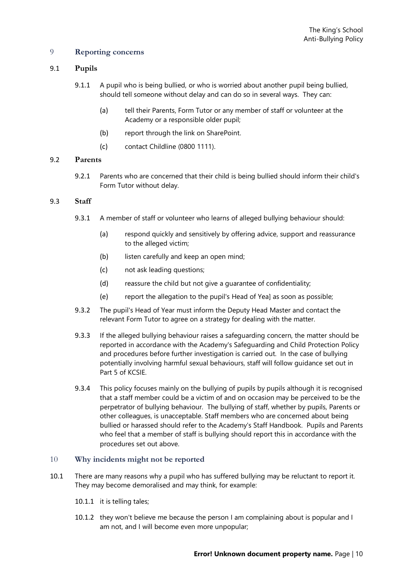#### <span id="page-9-0"></span>9 **Reporting concerns**

#### 9.1 **Pupils**

- 9.1.1 A pupil who is being bullied, or who is worried about another pupil being bullied, should tell someone without delay and can do so in several ways. They can:
	- (a) tell their Parents, Form Tutor or any member of staff or volunteer at the Academy or a responsible older pupil;
	- (b) report through the link on SharePoint.
	- (c) contact Childline (0800 1111).

#### 9.2 **Parents**

9.2.1 Parents who are concerned that their child is being bullied should inform their child's Form Tutor without delay.

#### 9.3 **Staff**

- 9.3.1 A member of staff or volunteer who learns of alleged bullying behaviour should:
	- (a) respond quickly and sensitively by offering advice, support and reassurance to the alleged victim;
	- (b) listen carefully and keep an open mind;
	- (c) not ask leading questions;
	- (d) reassure the child but not give a guarantee of confidentiality;
	- (e) report the allegation to the pupil's Head of Yea] as soon as possible;
- 9.3.2 The pupil's Head of Year must inform the Deputy Head Master and contact the relevant Form Tutor to agree on a strategy for dealing with the matter.
- 9.3.3 If the alleged bullying behaviour raises a safeguarding concern, the matter should be reported in accordance with the Academy's Safeguarding and Child Protection Policy and procedures before further investigation is carried out. In the case of bullying potentially involving harmful sexual behaviours, staff will follow guidance set out in Part 5 of KCSIE.
- 9.3.4 This policy focuses mainly on the bullying of pupils by pupils although it is recognised that a staff member could be a victim of and on occasion may be perceived to be the perpetrator of bullying behaviour. The bullying of staff, whether by pupils, Parents or other colleagues, is unacceptable. Staff members who are concerned about being bullied or harassed should refer to the Academy's Staff Handbook. Pupils and Parents who feel that a member of staff is bullying should report this in accordance with the procedures set out above.

#### <span id="page-9-1"></span>10 **Why incidents might not be reported**

- 10.1 There are many reasons why a pupil who has suffered bullying may be reluctant to report it. They may become demoralised and may think, for example:
	- 10.1.1 it is telling tales;
	- 10.1.2 they won't believe me because the person I am complaining about is popular and I am not, and I will become even more unpopular;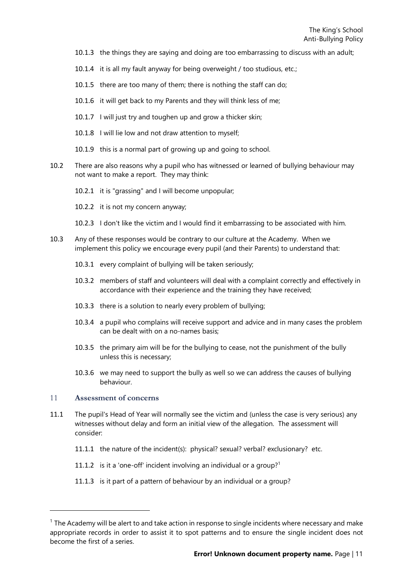- 10.1.3 the things they are saying and doing are too embarrassing to discuss with an adult;
- 10.1.4 it is all my fault anyway for being overweight / too studious, etc.;
- 10.1.5 there are too many of them; there is nothing the staff can do;
- 10.1.6 it will get back to my Parents and they will think less of me;
- 10.1.7 I will just try and toughen up and grow a thicker skin;
- 10.1.8 I will lie low and not draw attention to myself;
- 10.1.9 this is a normal part of growing up and going to school.
- 10.2 There are also reasons why a pupil who has witnessed or learned of bullying behaviour may not want to make a report. They may think:
	- 10.2.1 it is "grassing" and I will become unpopular;
	- 10.2.2 it is not my concern anyway;
	- 10.2.3 I don't like the victim and I would find it embarrassing to be associated with him.
- 10.3 Any of these responses would be contrary to our culture at the Academy. When we implement this policy we encourage every pupil (and their Parents) to understand that:
	- 10.3.1 every complaint of bullying will be taken seriously;
	- 10.3.2 members of staff and volunteers will deal with a complaint correctly and effectively in accordance with their experience and the training they have received;
	- 10.3.3 there is a solution to nearly every problem of bullying;
	- 10.3.4 a pupil who complains will receive support and advice and in many cases the problem can be dealt with on a no-names basis;
	- 10.3.5 the primary aim will be for the bullying to cease, not the punishment of the bully unless this is necessary;
	- 10.3.6 we may need to support the bully as well so we can address the causes of bullying behaviour.

#### <span id="page-10-0"></span>11 **Assessment of concerns**

- 11.1 The pupil's Head of Year will normally see the victim and (unless the case is very serious) any witnesses without delay and form an initial view of the allegation. The assessment will consider:
	- 11.1.1 the nature of the incident(s): physical? sexual? verbal? exclusionary? etc.
	- 11.1.2 is it a 'one-off' incident involving an individual or a group?<sup>1</sup>
	- 11.1.3 is it part of a pattern of behaviour by an individual or a group?

 $1$  The Academy will be alert to and take action in response to single incidents where necessary and make appropriate records in order to assist it to spot patterns and to ensure the single incident does not become the first of a series.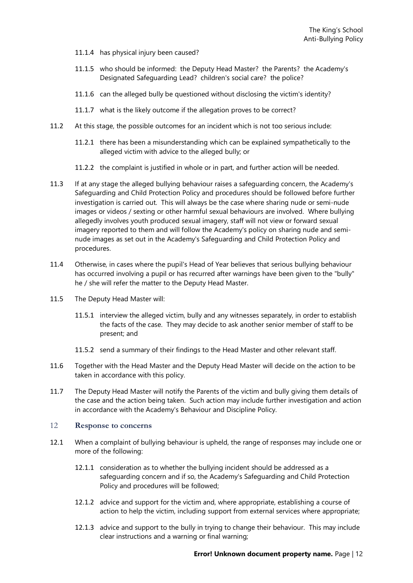- 11.1.4 has physical injury been caused?
- 11.1.5 who should be informed: the Deputy Head Master? the Parents? the Academy's Designated Safeguarding Lead? children's social care? the police?
- 11.1.6 can the alleged bully be questioned without disclosing the victim's identity?
- 11.1.7 what is the likely outcome if the allegation proves to be correct?
- 11.2 At this stage, the possible outcomes for an incident which is not too serious include:
	- 11.2.1 there has been a misunderstanding which can be explained sympathetically to the alleged victim with advice to the alleged bully; or
	- 11.2.2 the complaint is justified in whole or in part, and further action will be needed.
- 11.3 If at any stage the alleged bullying behaviour raises a safeguarding concern, the Academy's Safeguarding and Child Protection Policy and procedures should be followed before further investigation is carried out. This will always be the case where sharing nude or semi-nude images or videos / sexting or other harmful sexual behaviours are involved. Where bullying allegedly involves youth produced sexual imagery, staff will not view or forward sexual imagery reported to them and will follow the Academy's policy on sharing nude and seminude images as set out in the Academy's Safeguarding and Child Protection Policy and procedures.
- 11.4 Otherwise, in cases where the pupil's Head of Year believes that serious bullying behaviour has occurred involving a pupil or has recurred after warnings have been given to the "bully" he / she will refer the matter to the Deputy Head Master.
- 11.5 The Deputy Head Master will:
	- 11.5.1 interview the alleged victim, bully and any witnesses separately, in order to establish the facts of the case. They may decide to ask another senior member of staff to be present; and
	- 11.5.2 send a summary of their findings to the Head Master and other relevant staff.
- 11.6 Together with the Head Master and the Deputy Head Master will decide on the action to be taken in accordance with this policy.
- 11.7 The Deputy Head Master will notify the Parents of the victim and bully giving them details of the case and the action being taken. Such action may include further investigation and action in accordance with the Academy's Behaviour and Discipline Policy.

#### <span id="page-11-0"></span>12 **Response to concerns**

- 12.1 When a complaint of bullying behaviour is upheld, the range of responses may include one or more of the following:
	- 12.1.1 consideration as to whether the bullying incident should be addressed as a safeguarding concern and if so, the Academy's Safeguarding and Child Protection Policy and procedures will be followed;
	- 12.1.2 advice and support for the victim and, where appropriate, establishing a course of action to help the victim, including support from external services where appropriate;
	- 12.1.3 advice and support to the bully in trying to change their behaviour. This may include clear instructions and a warning or final warning;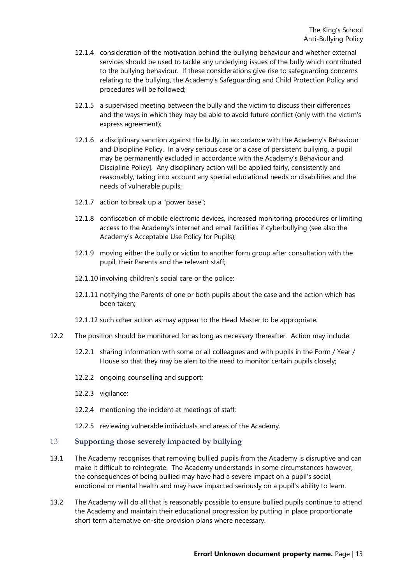- 12.1.4 consideration of the motivation behind the bullying behaviour and whether external services should be used to tackle any underlying issues of the bully which contributed to the bullying behaviour. If these considerations give rise to safeguarding concerns relating to the bullying, the Academy's Safeguarding and Child Protection Policy and procedures will be followed;
- 12.1.5 a supervised meeting between the bully and the victim to discuss their differences and the ways in which they may be able to avoid future conflict (only with the victim's express agreement);
- 12.1.6 a disciplinary sanction against the bully, in accordance with the Academy's Behaviour and Discipline Policy. In a very serious case or a case of persistent bullying, a pupil may be permanently excluded in accordance with the Academy's Behaviour and Discipline Policy]. Any disciplinary action will be applied fairly, consistently and reasonably, taking into account any special educational needs or disabilities and the needs of vulnerable pupils;
- 12.1.7 action to break up a "power base";
- 12.1.8 confiscation of mobile electronic devices, increased monitoring procedures or limiting access to the Academy's internet and email facilities if cyberbullying (see also the Academy's Acceptable Use Policy for Pupils);
- 12.1.9 moving either the bully or victim to another form group after consultation with the pupil, their Parents and the relevant staff;
- 12.1.10 involving children's social care or the police;
- 12.1.11 notifying the Parents of one or both pupils about the case and the action which has been taken;
- 12.1.12 such other action as may appear to the Head Master to be appropriate.
- 12.2 The position should be monitored for as long as necessary thereafter. Action may include:
	- 12.2.1 sharing information with some or all colleagues and with pupils in the Form / Year / House so that they may be alert to the need to monitor certain pupils closely;
	- 12.2.2 ongoing counselling and support;
	- 12.2.3 vigilance;
	- 12.2.4 mentioning the incident at meetings of staff;
	- 12.2.5 reviewing vulnerable individuals and areas of the Academy.

#### <span id="page-12-0"></span>13 **Supporting those severely impacted by bullying**

- 13.1 The Academy recognises that removing bullied pupils from the Academy is disruptive and can make it difficult to reintegrate. The Academy understands in some circumstances however, the consequences of being bullied may have had a severe impact on a pupil's social, emotional or mental health and may have impacted seriously on a pupil's ability to learn.
- 13.2 The Academy will do all that is reasonably possible to ensure bullied pupils continue to attend the Academy and maintain their educational progression by putting in place proportionate short term alternative on-site provision plans where necessary.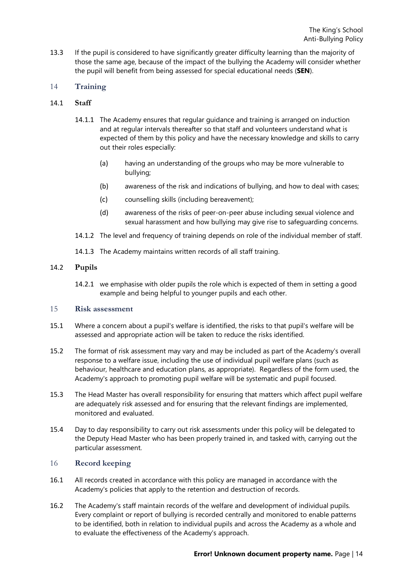13.3 If the pupil is considered to have significantly greater difficulty learning than the majority of those the same age, because of the impact of the bullying the Academy will consider whether the pupil will benefit from being assessed for special educational needs (**SEN**).

#### <span id="page-13-0"></span>14 **Training**

#### 14.1 **Staff**

- 14.1.1 The Academy ensures that regular guidance and training is arranged on induction and at regular intervals thereafter so that staff and volunteers understand what is expected of them by this policy and have the necessary knowledge and skills to carry out their roles especially:
	- (a) having an understanding of the groups who may be more vulnerable to bullying;
	- (b) awareness of the risk and indications of bullying, and how to deal with cases;
	- (c) counselling skills (including bereavement);
	- (d) awareness of the risks of peer-on-peer abuse including sexual violence and sexual harassment and how bullying may give rise to safeguarding concerns.
- 14.1.2 The level and frequency of training depends on role of the individual member of staff.
- 14.1.3 The Academy maintains written records of all staff training.

#### 14.2 **Pupils**

14.2.1 we emphasise with older pupils the role which is expected of them in setting a good example and being helpful to younger pupils and each other.

#### <span id="page-13-1"></span>15 **Risk assessment**

- 15.1 Where a concern about a pupil's welfare is identified, the risks to that pupil's welfare will be assessed and appropriate action will be taken to reduce the risks identified.
- 15.2 The format of risk assessment may vary and may be included as part of the Academy's overall response to a welfare issue, including the use of individual pupil welfare plans (such as behaviour, healthcare and education plans, as appropriate). Regardless of the form used, the Academy's approach to promoting pupil welfare will be systematic and pupil focused.
- 15.3 The Head Master has overall responsibility for ensuring that matters which affect pupil welfare are adequately risk assessed and for ensuring that the relevant findings are implemented, monitored and evaluated.
- 15.4 Day to day responsibility to carry out risk assessments under this policy will be delegated to the Deputy Head Master who has been properly trained in, and tasked with, carrying out the particular assessment.

#### <span id="page-13-2"></span>16 **Record keeping**

- 16.1 All records created in accordance with this policy are managed in accordance with the Academy's policies that apply to the retention and destruction of records.
- 16.2 The Academy's staff maintain records of the welfare and development of individual pupils. Every complaint or report of bullying is recorded centrally and monitored to enable patterns to be identified, both in relation to individual pupils and across the Academy as a whole and to evaluate the effectiveness of the Academy's approach.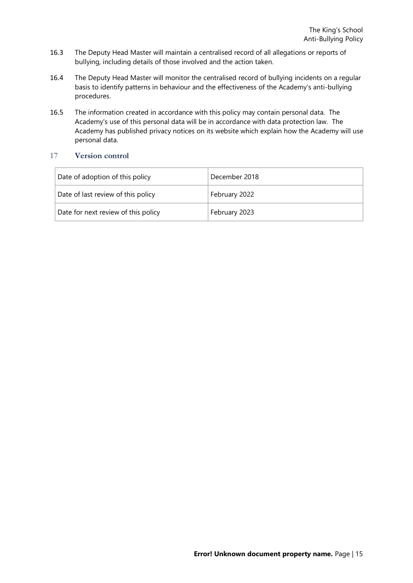- 16.3 The Deputy Head Master will maintain a centralised record of all allegations or reports of bullying, including details of those involved and the action taken.
- 16.4 The Deputy Head Master will monitor the centralised record of bullying incidents on a regular basis to identify patterns in behaviour and the effectiveness of the Academy's anti-bullying procedures.
- 16.5 The information created in accordance with this policy may contain personal data. The Academy's use of this personal data will be in accordance with data protection law. The Academy has published privacy notices on its website which explain how the Academy will use personal data.

#### <span id="page-14-0"></span>17 **Version control**

| Date of adoption of this policy     | December 2018 |
|-------------------------------------|---------------|
| Date of last review of this policy  | February 2022 |
| Date for next review of this policy | February 2023 |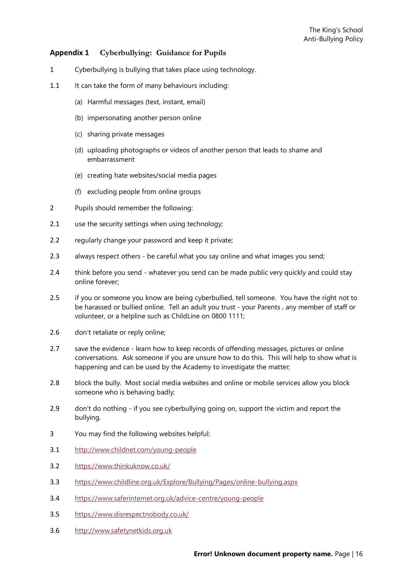#### <span id="page-15-0"></span>**Appendix 1 Cyberbullying: Guidance for Pupils**

- 1 Cyberbullying is bullying that takes place using technology.
- 1.1 It can take the form of many behaviours including:
	- (a) Harmful messages (text, instant, email)
	- (b) impersonating another person online
	- (c) sharing private messages
	- (d) uploading photographs or videos of another person that leads to shame and embarrassment
	- (e) creating hate websites/social media pages
	- (f) excluding people from online groups
- 2 Pupils should remember the following:
- 2.1 use the security settings when using technology;
- 2.2 regularly change your password and keep it private:
- 2.3 always respect others be careful what you say online and what images you send;
- 2.4 think before you send whatever you send can be made public very quickly and could stay online forever;
- 2.5 if you or someone you know are being cyberbullied, tell someone. You have the right not to be harassed or bullied online. Tell an adult you trust - your Parents , any member of staff or volunteer, or a helpline such as ChildLine on 0800 1111;
- 2.6 don't retaliate or reply online;
- 2.7 save the evidence learn how to keep records of offending messages, pictures or online conversations. Ask someone if you are unsure how to do this. This will help to show what is happening and can be used by the Academy to investigate the matter;
- 2.8 block the bully. Most social media websites and online or mobile services allow you block someone who is behaving badly;
- 2.9 don't do nothing if you see cyberbullying going on, support the victim and report the bullying.
- 3 You may find the following websites helpful:
- 3.1 <http://www.childnet.com/young-people>
- 3.2 <https://www.thinkuknow.co.uk/>
- 3.3 <https://www.childline.org.uk/Explore/Bullying/Pages/online-bullying.aspx>
- 3.4 <https://www.saferinternet.org.uk/advice-centre/young-people>
- 3.5 <https://www.disrespectnobody.co.uk/>
- 3.6 [http://www.safetynetkids.org.uk](http://www.safetynetkids.org.uk/)